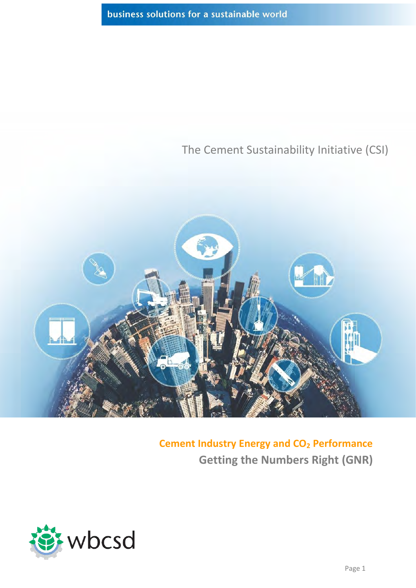### The Cement Sustainability Initiative (CSI)



**Cement Industry Energy and CO<sup>2</sup> Performance Getting the Numbers Right (GNR)**

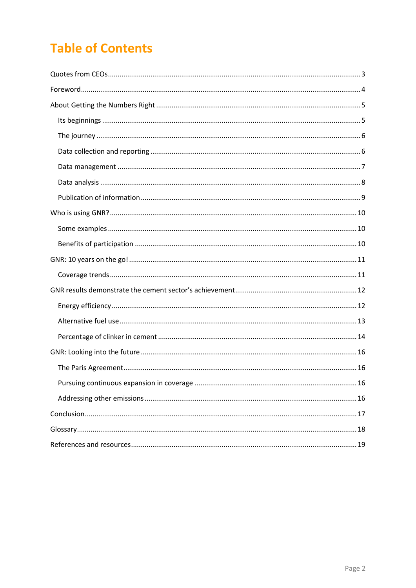# **Table of Contents**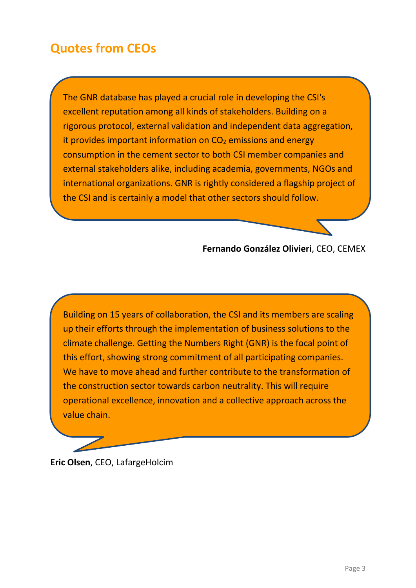## <span id="page-2-0"></span>**Quotes from CEOs**

The GNR database has played a crucial role in developing the CSI's excellent reputation among all kinds of stakeholders. Building on a rigorous protocol, external validation and independent data aggregation, it provides important information on  $CO<sub>2</sub>$  emissions and energy consumption in the cement sector to both CSI member companies and external stakeholders alike, including academia, governments, NGOs and international organizations. GNR is rightly considered a flagship project of the CSI and is certainly a model that other sectors should follow.

#### **Fernando González Olivieri**, CEO, CEMEX

Building on 15 years of collaboration, the CSI and its members are scaling up their efforts through the implementation of business solutions to the climate challenge. Getting the Numbers Right (GNR) is the focal point of this effort, showing strong commitment of all participating companies. We have to move ahead and further contribute to the transformation of the construction sector towards carbon neutrality. This will require operational excellence, innovation and a collective approach across the value chain.

### **Eric Olsen**, CEO, LafargeHolcim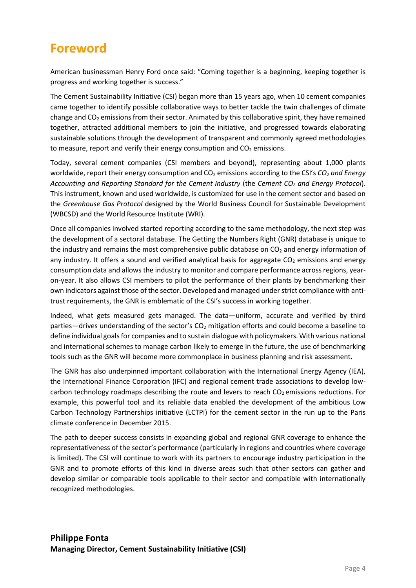### <span id="page-3-0"></span>**Foreword**

American businessman Henry Ford once said: "Coming together is a beginning, keeping together is progress and working together is success."

The Cement Sustainability Initiative (CSI) began more than 15 years ago, when 10 cement companies came together to identify possible collaborative ways to better tackle the twin challenges of climate change and  $CO<sub>2</sub>$  emissions from their sector. Animated by this collaborative spirit, they have remained together, attracted additional members to join the initiative, and progressed towards elaborating sustainable solutions through the development of transparent and commonly agreed methodologies to measure, report and verify their energy consumption and  $CO<sub>2</sub>$  emissions.

Today, several cement companies (CSI members and beyond), representing about 1,000 plants worldwide, report their energy consumption and CO<sub>2</sub> emissions according to the CSI's *CO<sub>2</sub> and Energy Accounting and Reporting Standard for the Cement Industry* (the *Cement CO<sup>2</sup> and Energy Protocol*). This instrument, known and used worldwide, is customized for use in the cement sector and based on the *Greenhouse Gas Protocol* designed by the World Business Council for Sustainable Development (WBCSD) and the World Resource Institute (WRI).

Once all companies involved started reporting according to the same methodology, the next step was the development of a sectoral database. The Getting the Numbers Right (GNR) database is unique to the industry and remains the most comprehensive public database on  $CO<sub>2</sub>$  and energy information of any industry. It offers a sound and verified analytical basis for aggregate  $CO<sub>2</sub>$  emissions and energy consumption data and allows the industry to monitor and compare performance across regions, yearon-year. It also allows CSI members to pilot the performance of their plants by benchmarking their own indicators against those of the sector. Developed and managed under strict compliance with antitrust requirements, the GNR is emblematic of the CSI's success in working together.

Indeed, what gets measured gets managed. The data—uniform, accurate and verified by third parties—drives understanding of the sector's  $CO<sub>2</sub>$  mitigation efforts and could become a baseline to define individual goals for companies and to sustain dialogue with policymakers. With various national and international schemes to manage carbon likely to emerge in the future, the use of benchmarking tools such as the GNR will become more commonplace in business planning and risk assessment.

The GNR has also underpinned important collaboration with the International Energy Agency (IEA), the International Finance Corporation (IFC) and regional cement trade associations to develop lowcarbon technology roadmaps describing the route and levers to reach  $CO<sub>2</sub>$  emissions reductions. For example, this powerful tool and its reliable data enabled the development of the ambitious Low Carbon Technology Partnerships initiative (LCTPi) for the cement sector in the run up to the Paris climate conference in December 2015.

The path to deeper success consists in expanding global and regional GNR coverage to enhance the representativeness of the sector's performance (particularly in regions and countries where coverage is limited). The CSI will continue to work with its partners to encourage industry participation in the GNR and to promote efforts of this kind in diverse areas such that other sectors can gather and develop similar or comparable tools applicable to their sector and compatible with internationally recognized methodologies.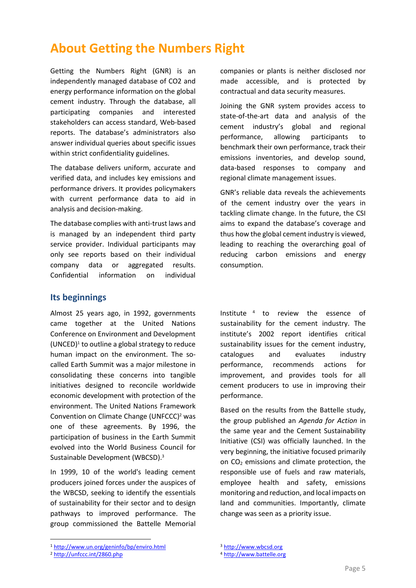### <span id="page-4-0"></span>**About Getting the Numbers Right**

Getting the Numbers Right (GNR) is an independently managed database of CO2 and energy performance information on the global cement industry. Through the database, all participating companies and interested stakeholders can access standard, Web-based reports. The database's administrators also answer individual queries about specific issues within strict confidentiality guidelines.

The database delivers uniform, accurate and verified data, and includes key emissions and performance drivers. It provides policymakers with current performance data to aid in analysis and decision-making.

The database complies with anti-trust laws and is managed by an independent third party service provider. Individual participants may only see reports based on their individual company data or aggregated results. Confidential information on individual

#### <span id="page-4-1"></span>**Its beginnings**

Almost 25 years ago, in 1992, governments came together at the United Nations Conference on Environment and Development  $(UNCED)^1$  to outline a global strategy to reduce human impact on the environment. The socalled Earth Summit was a major milestone in consolidating these concerns into tangible initiatives designed to reconcile worldwide economic development with protection of the environment. The United Nations Framework Convention on Climate Change (UNFCCC) <sup>2</sup> was one of these agreements. By 1996, the participation of business in the Earth Summit evolved into the World Business Council for Sustainable Development (WBCSD). 3

In 1999, 10 of the world's leading cement producers joined forces under the auspices of the WBCSD, seeking to identify the essentials of sustainability for their sector and to design pathways to improved performance. The group commissioned the Battelle Memorial companies or plants is neither disclosed nor made accessible, and is protected by contractual and data security measures.

Joining the GNR system provides access to state-of-the-art data and analysis of the cement industry's global and regional performance, allowing participants to benchmark their own performance, track their emissions inventories, and develop sound, data-based responses to company and regional climate management issues.

GNR's reliable data reveals the achievements of the cement industry over the years in tackling climate change. In the future, the CSI aims to expand the database's coverage and thus how the global cement industry is viewed, leading to reaching the overarching goal of reducing carbon emissions and energy consumption.

Institute 4 to review the essence of sustainability for the cement industry. The institute's 2002 report identifies critical sustainability issues for the cement industry, catalogues and evaluates industry performance, recommends actions for improvement, and provides tools for all cement producers to use in improving their performance.

Based on the results from the Battelle study, the group published an *Agenda for Action* in the same year and the Cement Sustainability Initiative (CSI) was officially launched. In the very beginning, the initiative focused primarily on CO<sup>2</sup> emissions and climate protection, the responsible use of fuels and raw materials, employee health and safety, emissions monitoring and reduction, and local impacts on land and communities. Importantly, climate change was seen as a priority issue.

1

<sup>1</sup> <http://www.un.org/geninfo/bp/enviro.html>

<sup>2</sup> <http://unfccc.int/2860.php>

<sup>3</sup> [http://www.wbcsd.org](http://www.wbcsd.org/)

<sup>4</sup> [http://www.battelle.org](http://www.battelle.org/)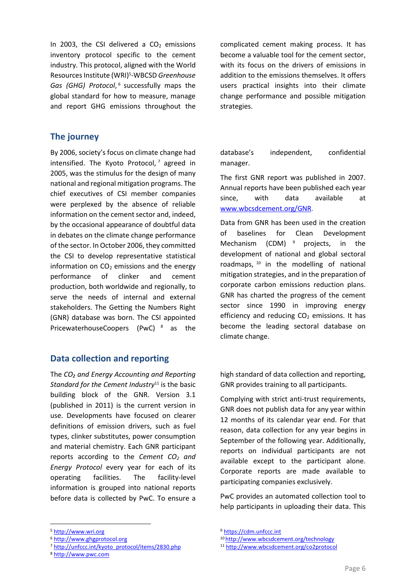In 2003, the CSI delivered a  $CO<sub>2</sub>$  emissions inventory protocol specific to the cement industry. This protocol, aligned with the World Resources Institute (WRI)<sup>5</sup>-WBCSD Greenhouse Gas (GHG) Protocol,<sup>6</sup> successfully maps the global standard for how to measure, manage and report GHG emissions throughout the

#### <span id="page-5-0"></span>**The journey**

By 2006, society's focus on climate change had intensified. The Kyoto Protocol, <sup>7</sup> agreed in 2005, was the stimulus for the design of many national and regional mitigation programs. The chief executives of CSI member companies were perplexed by the absence of reliable information on the cement sector and, indeed, by the occasional appearance of doubtful data in debates on the climate change performance of the sector. In October 2006, they committed the CSI to develop representative statistical information on  $CO<sub>2</sub>$  emissions and the energy performance of clinker and cement production, both worldwide and regionally, to serve the needs of internal and external stakeholders. The Getting the Numbers Right (GNR) database was born. The CSI appointed PricewaterhouseCoopers (PwC) <sup>8</sup> as the

#### <span id="page-5-1"></span>**Data collection and reporting**

The *CO₂ and Energy Accounting and Reporting Standard for the Cement Industry*<sup>11</sup> is the basic building block of the GNR. Version 3.1 (published in 2011) is the current version in use. Developments have focused on clearer definitions of emission drivers, such as fuel types, clinker substitutes, power consumption and material chemistry. Each GNR participant reports according to the *Cement CO<sup>2</sup> and Energy Protocol* every year for each of its operating facilities. The facility-level information is grouped into national reports before data is collected by PwC. To ensure a

**.** 

complicated cement making process. It has become a valuable tool for the cement sector, with its focus on the drivers of emissions in addition to the emissions themselves. It offers users practical insights into their climate change performance and possible mitigation strategies.

database's independent, confidential manager.

The first GNR report was published in 2007. Annual reports have been published each year since, with data available at [www.wbcsdcement.org/GNR.](http://www.wbcsdcement.org/GNR)

Data from GNR has been used in the creation of baselines for Clean Development Mechanism (CDM) <sup>9</sup> projects, in the development of national and global sectoral roadmaps, <sup>10</sup> in the modelling of national mitigation strategies, and in the preparation of corporate carbon emissions reduction plans. GNR has charted the progress of the cement sector since 1990 in improving energy efficiency and reducing  $CO<sub>2</sub>$  emissions. It has become the leading sectoral database on climate change.

high standard of data collection and reporting, GNR provides training to all participants.

Complying with strict anti-trust requirements, GNR does not publish data for any year within 12 months of its calendar year end. For that reason, data collection for any year begins in September of the following year. Additionally, reports on individual participants are not available except to the participant alone. Corporate reports are made available to participating companies exclusively.

PwC provides an automated collection tool to help participants in uploading their data. This

<sup>5</sup> [http://www.wri.org](http://www.wri.org/)

<sup>6</sup> [http://www.ghgprotocol.org](http://www.ghgprotocol.org/)

<sup>7</sup> [http://unfccc.int/kyoto\\_protocol/items/2830.php](http://unfccc.int/kyoto_protocol/items/2830.php)

<sup>8</sup> [http://www.pwc.com](http://www.pwc.com/)

<sup>9</sup> [https://cdm.unfccc.int](https://cdm.unfccc.int/)

<sup>10</sup> <http://www.wbcsdcement.org/technology>

<sup>11</sup> <http://www.wbcsdcement.org/co2protocol>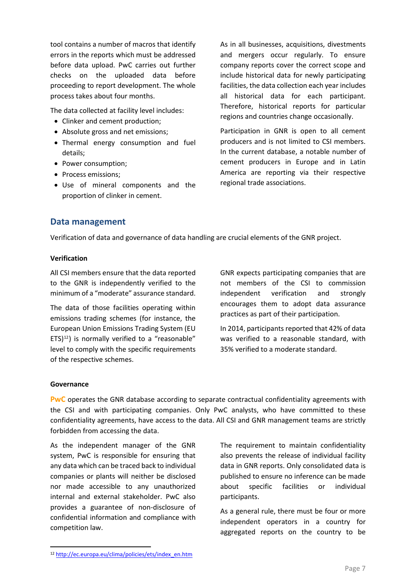tool contains a number of macros that identify errors in the reports which must be addressed before data upload. PwC carries out further checks on the uploaded data before proceeding to report development. The whole process takes about four months.

The data collected at facility level includes:

- Clinker and cement production;
- Absolute gross and net emissions;
- Thermal energy consumption and fuel details;
- Power consumption;
- Process emissions:
- Use of mineral components and the proportion of clinker in cement.

As in all businesses, acquisitions, divestments and mergers occur regularly. To ensure company reports cover the correct scope and include historical data for newly participating facilities, the data collection each year includes all historical data for each participant. Therefore, historical reports for particular regions and countries change occasionally.

Participation in GNR is open to all cement producers and is not limited to CSI members. In the current database, a notable number of cement producers in Europe and in Latin America are reporting via their respective regional trade associations.

#### <span id="page-6-0"></span>**Data management**

Verification of data and governance of data handling are crucial elements of the GNR project.

#### **Verification**

All CSI members ensure that the data reported to the GNR is independently verified to the minimum of a "moderate" assurance standard.

The data of those facilities operating within emissions trading schemes (for instance, the European Union Emissions Trading System (EU  $ETS$ <sup>12</sup>) is normally verified to a "reasonable" level to comply with the specific requirements of the respective schemes.

GNR expects participating companies that are not members of the CSI to commission independent verification and strongly encourages them to adopt data assurance practices as part of their participation.

In 2014, participants reported that 42% of data was verified to a reasonable standard, with 35% verified to a moderate standard.

#### **Governance**

**.** 

**PwC** operates the GNR database according to separate contractual confidentiality agreements with the CSI and with participating companies. Only PwC analysts, who have committed to these confidentiality agreements, have access to the data. All CSI and GNR management teams are strictly forbidden from accessing the data.

As the independent manager of the GNR system, PwC is responsible for ensuring that any data which can be traced back to individual companies or plants will neither be disclosed nor made accessible to any unauthorized internal and external stakeholder. PwC also provides a guarantee of non-disclosure of confidential information and compliance with competition law.

The requirement to maintain confidentiality also prevents the release of individual facility data in GNR reports. Only consolidated data is published to ensure no inference can be made about specific facilities or individual participants.

As a general rule, there must be four or more independent operators in a country for aggregated reports on the country to be

<sup>12</sup> [http://ec.europa.eu/clima/policies/ets/index\\_en.htm](http://ec.europa.eu/clima/policies/ets/index_en.htm)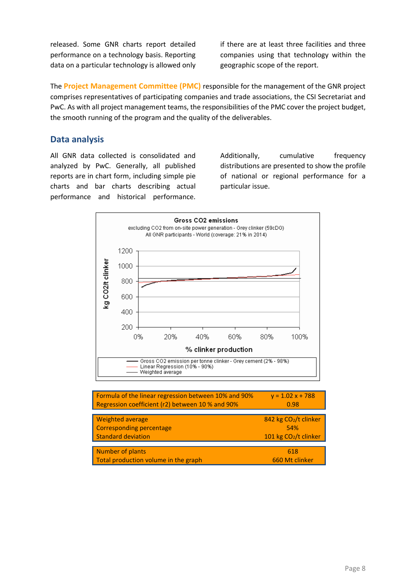released. Some GNR charts report detailed performance on a technology basis. Reporting data on a particular technology is allowed only if there are at least three facilities and three companies using that technology within the geographic scope of the report.

The **Project Management Committee (PMC)** responsible for the management of the GNR project comprises representatives of participating companies and trade associations, the CSI Secretariat and PwC. As with all project management teams, the responsibilities of the PMC cover the project budget, the smooth running of the program and the quality of the deliverables.

#### <span id="page-7-0"></span>**Data analysis**

All GNR data collected is consolidated and analyzed by PwC. Generally, all published reports are in chart form, including simple pie charts and bar charts describing actual performance and historical performance.

Additionally, cumulative frequency distributions are presented to show the profile of national or regional performance for a particular issue.



| Formula of the linear regression between 10% and 90% | $y = 1.02x + 788$                 |
|------------------------------------------------------|-----------------------------------|
| Regression coefficient (r2) between 10 % and 90%     | 0.98                              |
| <b>Weighted average</b>                              | 842 kg CO2/t clinker              |
| <b>Corresponding percentage</b>                      | 54%                               |
| <b>Standard deviation</b>                            | 101 kg CO <sub>2</sub> /t clinker |
| <b>Number of plants</b>                              | 618                               |
| Total production volume in the graph                 | 660 Mt clinker                    |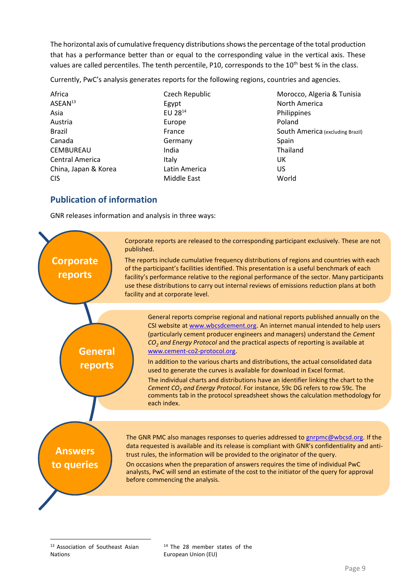The horizontal axis of cumulative frequency distributions shows the percentage of the total production that has a performance better than or equal to the corresponding value in the vertical axis. These values are called percentiles. The tenth percentile, P10, corresponds to the 10<sup>th</sup> best % in the class.

Currently, PwC's analysis generates reports for the following regions, countries and agencies.

| Africa                 | Czech Republic | Morocco, Algeria & Tunisia       |
|------------------------|----------------|----------------------------------|
| ASEAN <sup>13</sup>    | Egypt          | North America                    |
| Asia                   | EU 2814        | Philippines                      |
| Austria                | Europe         | Poland                           |
| Brazil                 | France         | South America (excluding Brazil) |
| Canada                 | Germany        | Spain                            |
| <b>CEMBUREAU</b>       | India          | Thailand                         |
| <b>Central America</b> | Italy          | UK                               |
| China, Japan & Korea   | Latin America  | US                               |
| <b>CIS</b>             | Middle East    | World                            |

### <span id="page-8-0"></span>**Publication of information**

GNR releases information and analysis in three ways:



<sup>13</sup> Association of Southeast Asian Nations

1

<sup>14</sup> The 28 member states of the European Union (EU)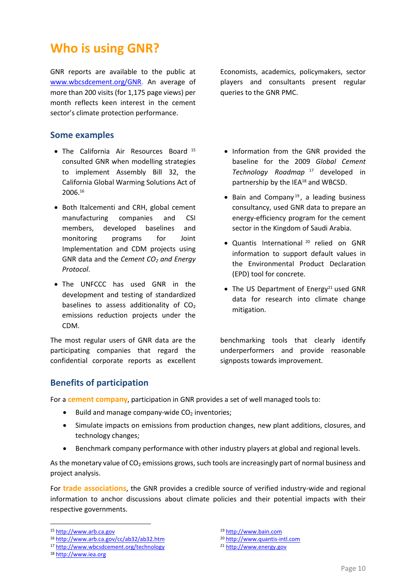### <span id="page-9-0"></span>**Who is using GNR?**

GNR reports are available to the public at [www.wbcsdcement.org/GNR.](http://www.wbcsdcement.org/GNR) An average of more than 200 visits (for 1,175 page views) per month reflects keen interest in the cement sector's climate protection performance.

#### <span id="page-9-1"></span>**Some examples**

- The California Air Resources Board <sup>15</sup> consulted GNR when modelling strategies to implement Assembly Bill 32, the California Global Warming Solutions Act of 2006. 16
- Both Italcementi and CRH, global cement manufacturing companies and CSI members, developed baselines and monitoring programs for Joint Implementation and CDM projects using GNR data and the *Cement CO<sup>2</sup> and Energy Protocol*.
- The UNFCCC has used GNR in the development and testing of standardized baselines to assess additionality of  $CO<sub>2</sub>$ emissions reduction projects under the CDM.

The most regular users of GNR data are the participating companies that regard the confidential corporate reports as excellent Economists, academics, policymakers, sector players and consultants present regular queries to the GNR PMC.

- Information from the GNR provided the baseline for the 2009 *Global Cement Technology Roadmap* <sup>17</sup> developed in partnership by the IEA<sup>18</sup> and WBCSD.
- $\bullet$  Bain and Company<sup>19</sup>, a leading business consultancy, used GNR data to prepare an energy-efficiency program for the cement sector in the Kingdom of Saudi Arabia.
- Quantis International <sup>20</sup> relied on GNR information to support default values in the Environmental Product Declaration (EPD) tool for concrete.
- The US Department of Energy<sup>21</sup> used GNR data for research into climate change mitigation.

benchmarking tools that clearly identify underperformers and provide reasonable signposts towards improvement.

#### <span id="page-9-2"></span>**Benefits of participation**

For a **cement company**, participation in GNR provides a set of well managed tools to:

- $\bullet$  Build and manage company-wide CO<sub>2</sub> inventories;
- Simulate impacts on emissions from production changes, new plant additions, closures, and technology changes;
- Benchmark company performance with other industry players at global and regional levels.

As the monetary value of  $CO<sub>2</sub>$  emissions grows, such tools are increasingly part of normal business and project analysis.

For **trade associations**, the GNR provides a credible source of verified industry-wide and regional information to anchor discussions about climate policies and their potential impacts with their respective governments.

**.** 

<sup>21</sup> [http://www.energy.gov](http://www.energy.gov/)

<sup>15</sup> [http://www.arb.ca.gov](http://www.arb.ca.gov/)

<sup>16</sup> <http://www.arb.ca.gov/cc/ab32/ab32.htm>

<sup>17</sup> <http://www.wbcsdcement.org/technology>

<sup>18</sup> [http://www.iea.org](http://www.iea.org/)

<sup>19</sup> [http://www.bain.com](http://www.bain.com/)

<sup>20</sup> [http://www.quantis-intl.com](http://www.quantis-intl.com/)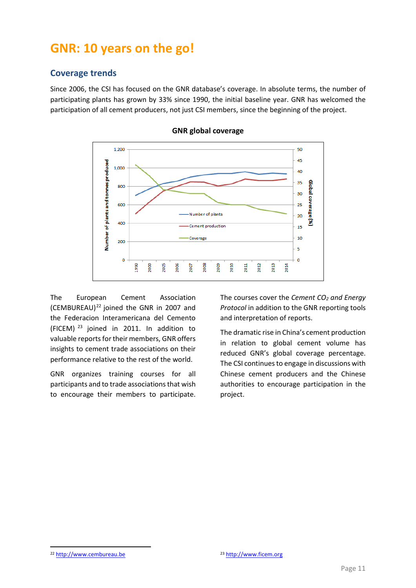### <span id="page-10-0"></span>**GNR: 10 years on the go!**

#### <span id="page-10-1"></span>**Coverage trends**

Since 2006, the CSI has focused on the GNR database's coverage. In absolute terms, the number of participating plants has grown by 33% since 1990, the initial baseline year. GNR has welcomed the participation of all cement producers, not just CSI members, since the beginning of the project.



**GNR global coverage**

The European Cement Association (CEMBUREAU) $^{22}$  joined the GNR in 2007 and the Federacion Interamericana del Cemento (FICEM) <sup>23</sup> joined in 2011. In addition to valuable reports for their members, GNR offers insights to cement trade associations on their performance relative to the rest of the world.

GNR organizes training courses for all participants and to trade associations that wish to encourage their members to participate. The courses cover the *Cement CO<sup>2</sup> and Energy Protocol* in addition to the GNR reporting tools and interpretation of reports.

The dramatic rise in China's cement production in relation to global cement volume has reduced GNR's global coverage percentage. The CSI continues to engage in discussions with Chinese cement producers and the Chinese authorities to encourage participation in the project.

**.** 

<sup>22</sup> [http://www.cembureau.be](http://www.cembureau.be/) <sup>23</sup> [http://www.ficem.org](http://www.ficem.org/)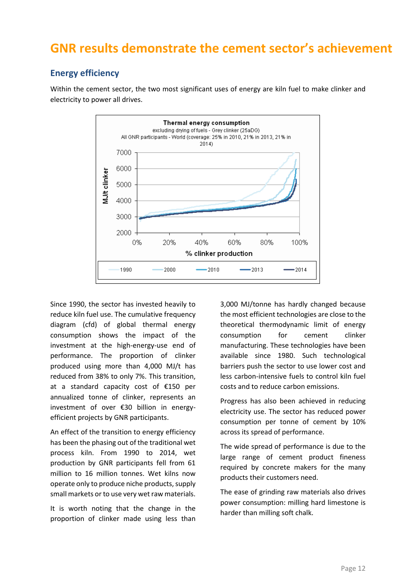### <span id="page-11-0"></span>**GNR results demonstrate the cement sector's achievement**

### <span id="page-11-1"></span>**Energy efficiency**

Within the cement sector, the two most significant uses of energy are kiln fuel to make clinker and electricity to power all drives.



Since 1990, the sector has invested heavily to reduce kiln fuel use. The cumulative frequency diagram (cfd) of global thermal energy consumption shows the impact of the investment at the high-energy-use end of performance. The proportion of clinker produced using more than 4,000 MJ/t has reduced from 38% to only 7%. This transition, at a standard capacity cost of €150 per annualized tonne of clinker, represents an investment of over €30 billion in energyefficient projects by GNR participants.

An effect of the transition to energy efficiency has been the phasing out of the traditional wet process kiln. From 1990 to 2014, wet production by GNR participants fell from 61 million to 16 million tonnes. Wet kilns now operate only to produce niche products, supply small markets or to use very wet raw materials.

It is worth noting that the change in the proportion of clinker made using less than 3,000 MJ/tonne has hardly changed because the most efficient technologies are close to the theoretical thermodynamic limit of energy consumption for cement clinker manufacturing. These technologies have been available since 1980. Such technological barriers push the sector to use lower cost and less carbon-intensive fuels to control kiln fuel costs and to reduce carbon emissions.

Progress has also been achieved in reducing electricity use. The sector has reduced power consumption per tonne of cement by 10% across its spread of performance.

The wide spread of performance is due to the large range of cement product fineness required by concrete makers for the many products their customers need.

The ease of grinding raw materials also drives power consumption: milling hard limestone is harder than milling soft chalk.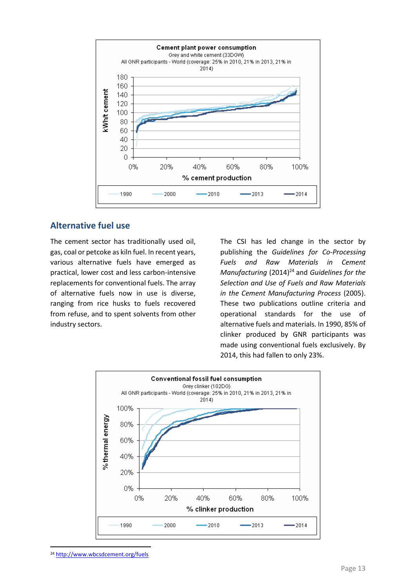

#### <span id="page-12-0"></span>**Alternative fuel use**

The cement sector has traditionally used oil, gas, coal or petcoke as kiln fuel. In recent years, various alternative fuels have emerged as practical, lower cost and less carbon-intensive replacements for conventional fuels. The array of alternative fuels now in use is diverse, ranging from rice husks to fuels recovered from refuse, and to spent solvents from other industry sectors.

The CSI has led change in the sector by publishing the *Guidelines for Co-Processing Fuels and Raw Materials in Cement Manufacturing* (2014)<sup>24</sup> and *Guidelines for the Selection and Use of Fuels and Raw Materials in the Cement Manufacturing Process* (2005). These two publications outline criteria and operational standards for the use of alternative fuels and materials. In 1990, 85% of clinker produced by GNR participants was made using conventional fuels exclusively. By 2014, this had fallen to only 23%.



<sup>24</sup> <http://www.wbcsdcement.org/fuels>

**.**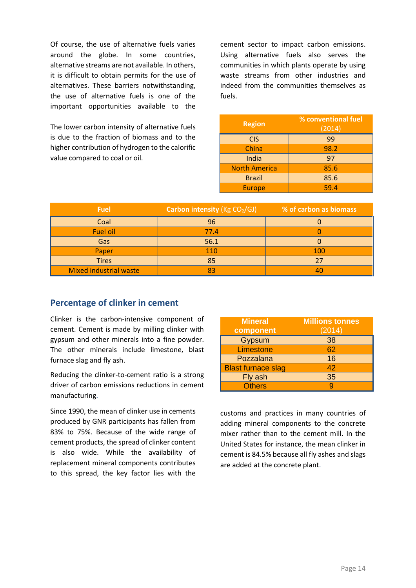Of course, the use of alternative fuels varies around the globe. In some countries, alternative streams are not available. In others, it is difficult to obtain permits for the use of alternatives. These barriers notwithstanding, the use of alternative fuels is one of the important opportunities available to the

The lower carbon intensity of alternative fuels is due to the fraction of biomass and to the higher contribution of hydrogen to the calorific value compared to coal or oil.

cement sector to impact carbon emissions. Using alternative fuels also serves the communities in which plants operate by using waste streams from other industries and indeed from the communities themselves as fuels.

| <b>Region</b>        | % conventional fuel<br>(2014) |
|----------------------|-------------------------------|
| <b>CIS</b>           | 99                            |
| China                | 98.2                          |
| India                | 97                            |
| <b>North America</b> | 85.6                          |
| <b>Brazil</b>        | 85.6                          |
| <b>Europe</b>        | 59.4                          |

| <b>Fuel</b>                   | Carbon intensity (Kg CO2/GJ) | % of carbon as biomass |
|-------------------------------|------------------------------|------------------------|
| Coal                          | 96                           |                        |
| Fuel oil                      | 77.4                         |                        |
| Gas                           | 56.1                         |                        |
| Paper                         | 110                          | 100                    |
| <b>Tires</b>                  | 85                           | 27                     |
| <b>Mixed industrial waste</b> |                              | 40                     |

#### <span id="page-13-0"></span>**Percentage of clinker in cement**

Clinker is the carbon-intensive component of cement. Cement is made by milling clinker with gypsum and other minerals into a fine powder. The other minerals include limestone, blast furnace slag and fly ash.

Reducing the clinker-to-cement ratio is a strong driver of carbon emissions reductions in cement manufacturing.

Since 1990, the mean of clinker use in cements produced by GNR participants has fallen from 83% to 75%. Because of the wide range of cement products, the spread of clinker content is also wide. While the availability of replacement mineral components contributes to this spread, the key factor lies with the

| <b>Mineral</b><br>component | <b>Millions tonnes</b><br>(2014) |
|-----------------------------|----------------------------------|
| Gypsum                      | 38                               |
| Limestone                   | 62                               |
| Pozzalana                   | 16                               |
| <b>Blast furnace slag</b>   | 42                               |
| Fly ash                     | 35                               |
| <b>Others</b>               |                                  |

customs and practices in many countries of adding mineral components to the concrete mixer rather than to the cement mill. In the United States for instance, the mean clinker in cement is 84.5% because all fly ashes and slags are added at the concrete plant.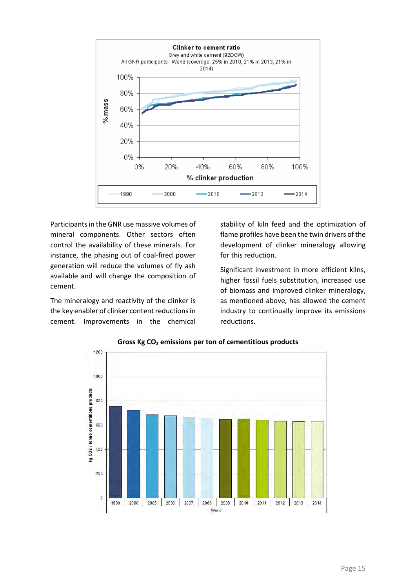

Participants in the GNR use massive volumes of mineral components. Other sectors often control the availability of these minerals. For instance, the phasing out of coal-fired power generation will reduce the volumes of fly ash available and will change the composition of cement.

The mineralogy and reactivity of the clinker is the key enabler of clinker content reductions in cement. Improvements in the chemical stability of kiln feed and the optimization of flame profiles have been the twin drivers of the development of clinker mineralogy allowing for this reduction.

Significant investment in more efficient kilns, higher fossil fuels substitution, increased use of biomass and improved clinker mineralogy, as mentioned above, has allowed the cement industry to continually improve its emissions reductions.



**Gross Kg CO<sup>2</sup> emissions per ton of cementitious products**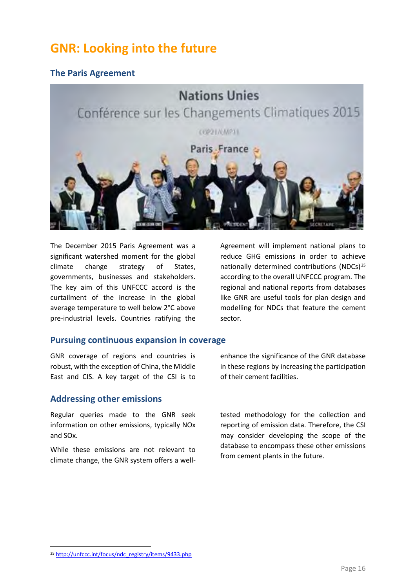### <span id="page-15-0"></span>**GNR: Looking into the future**

### <span id="page-15-1"></span>**The Paris Agreement**



The December 2015 Paris Agreement was a significant watershed moment for the global climate change strategy of States, governments, businesses and stakeholders. The key aim of this UNFCCC accord is the curtailment of the increase in the global average temperature to well below 2°C above pre-industrial levels. Countries ratifying the Agreement will implement national plans to reduce GHG emissions in order to achieve nationally determined contributions (NDCs) $25$ according to the overall UNFCCC program. The regional and national reports from databases like GNR are useful tools for plan design and modelling for NDCs that feature the cement sector.

#### <span id="page-15-2"></span>**Pursuing continuous expansion in coverage**

GNR coverage of regions and countries is robust, with the exception of China, the Middle East and CIS. A key target of the CSI is to

#### <span id="page-15-3"></span>**Addressing other emissions**

Regular queries made to the GNR seek information on other emissions, typically NOx and SOx.

While these emissions are not relevant to climate change, the GNR system offers a well-

enhance the significance of the GNR database in these regions by increasing the participation of their cement facilities.

tested methodology for the collection and reporting of emission data. Therefore, the CSI may consider developing the scope of the database to encompass these other emissions from cement plants in the future.

**.** 

<sup>25</sup> [http://unfccc.int/focus/ndc\\_registry/items/9433.php](http://unfccc.int/focus/ndc_registry/items/9433.php)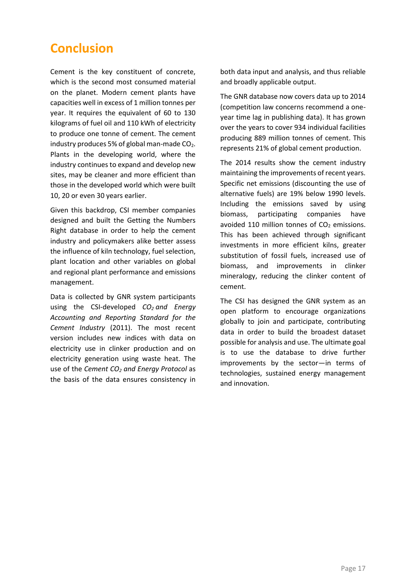## <span id="page-16-0"></span>**Conclusion**

Cement is the key constituent of concrete, which is the second most consumed material on the planet. Modern cement plants have capacities well in excess of 1 million tonnes per year. It requires the equivalent of 60 to 130 kilograms of fuel oil and 110 kWh of electricity to produce one tonne of cement. The cement industry produces 5% of global man-made  $CO<sub>2</sub>$ . Plants in the developing world, where the industry continues to expand and develop new sites, may be cleaner and more efficient than those in the developed world which were built 10, 20 or even 30 years earlier.

Given this backdrop, CSI member companies designed and built the Getting the Numbers Right database in order to help the cement industry and policymakers alike better assess the influence of kiln technology, fuel selection, plant location and other variables on global and regional plant performance and emissions management.

Data is collected by GNR system participants using the CSI-developed *CO<sup>2</sup> [and Energy](http://www.wbcsdcement.org/index.php/en/key-issues/climate-protection/co-accounting-and-reporting-standard-for-the-cement-industry)  [Accounting and Reporting Standard for the](http://www.wbcsdcement.org/index.php/en/key-issues/climate-protection/co-accounting-and-reporting-standard-for-the-cement-industry)  [Cement Industry](http://www.wbcsdcement.org/index.php/en/key-issues/climate-protection/co-accounting-and-reporting-standard-for-the-cement-industry)* (2011). The most recent version includes new indices with data on electricity use in clinker production and on electricity generation using waste heat. The use of the *Cement CO<sup>2</sup> and Energy Protocol* as the basis of the data ensures consistency in both data input and analysis, and thus reliable and broadly applicable output.

The GNR database now covers data up to 2014 (competition law concerns recommend a oneyear time lag in publishing data). It has grown over the years to cover 934 individual facilities producing 889 million tonnes of cement. This represents 21% of global cement production.

The 2014 results show the cement industry maintaining the improvements of recent years. Specific net emissions (discounting the use of alternative fuels) are 19% below 1990 levels. Including the emissions saved by using biomass, participating companies have avoided 110 million tonnes of  $CO<sub>2</sub>$  emissions. This has been achieved through significant investments in more efficient kilns, greater substitution of fossil fuels, increased use of biomass, and improvements in clinker mineralogy, reducing the clinker content of cement.

The CSI has designed the GNR system as an open platform to encourage organizations globally to join and participate, contributing data in order to build the broadest dataset possible for analysis and use. The ultimate goal is to use the database to drive further improvements by the sector—in terms of technologies, sustained energy management and innovation.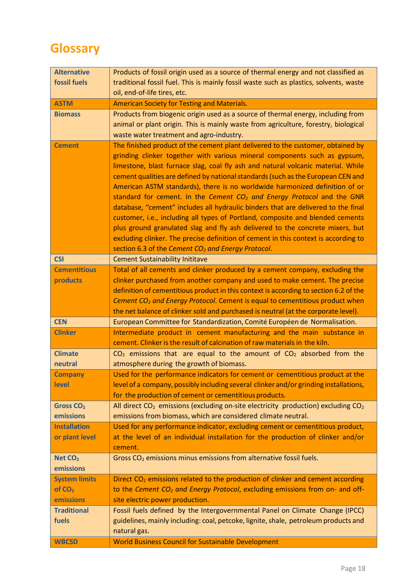# <span id="page-17-0"></span>**Glossary**

| <b>Alternative</b>        | Products of fossil origin used as a source of thermal energy and not classified as                                                                     |
|---------------------------|--------------------------------------------------------------------------------------------------------------------------------------------------------|
| fossil fuels              | traditional fossil fuel. This is mainly fossil waste such as plastics, solvents, waste                                                                 |
|                           | oil, end-of-life tires, etc.                                                                                                                           |
| <b>ASTM</b>               | <b>American Society for Testing and Materials.</b>                                                                                                     |
| <b>Biomass</b>            | Products from biogenic origin used as a source of thermal energy, including from                                                                       |
|                           | animal or plant origin. This is mainly waste from agriculture, forestry, biological                                                                    |
|                           | waste water treatment and agro-industry.                                                                                                               |
| <b>Cement</b>             | The finished product of the cement plant delivered to the customer, obtained by                                                                        |
|                           | grinding clinker together with various mineral components such as gypsum,                                                                              |
|                           | limestone, blast furnace slag, coal fly ash and natural volcanic material. While                                                                       |
|                           | cement qualities are defined by national standards (such as the European CEN and                                                                       |
|                           | American ASTM standards), there is no worldwide harmonized definition of or                                                                            |
|                           | standard for cement. In the Cement $CO2$ and Energy Protocol and the GNR                                                                               |
|                           | database, "cement" includes all hydraulic binders that are delivered to the final                                                                      |
|                           | customer, i.e., including all types of Portland, composite and blended cements                                                                         |
|                           | plus ground granulated slag and fly ash delivered to the concrete mixers, but                                                                          |
|                           | excluding clinker. The precise definition of cement in this context is according to                                                                    |
|                           | section 6.3 of the Cement CO <sub>2</sub> and Energy Protocol.                                                                                         |
| <b>CSI</b>                | <b>Cement Sustainability Inititave</b>                                                                                                                 |
| <b>Cementitious</b>       | Total of all cements and clinker produced by a cement company, excluding the                                                                           |
| products                  | clinker purchased from another company and used to make cement. The precise                                                                            |
|                           | definition of cementitious product in this context is according to section 6.2 of the                                                                  |
|                           | Cement CO <sub>2</sub> and Energy Protocol. Cement is equal to cementitious product when                                                               |
|                           |                                                                                                                                                        |
|                           |                                                                                                                                                        |
|                           | the net balance of clinker sold and purchased is neutral (at the corporate level).                                                                     |
| <b>CEN</b>                | European Committee for Standardization, Comité Européen de Normalisation.                                                                              |
| <b>Clinker</b>            | Intermediate product in cement manufacturing and the main substance in                                                                                 |
|                           | cement. Clinker is the result of calcination of raw materials in the kiln.                                                                             |
| <b>Climate</b><br>neutral | $CO2$ emissions that are equal to the amount of $CO2$ absorbed from the                                                                                |
|                           | atmosphere during the growth of biomass.                                                                                                               |
| <b>Company</b><br>level   | Used for the performance indicators for cement or cementitious product at the                                                                          |
|                           | level of a company, possibly including several clinker and/or grinding installations,                                                                  |
| Gross CO <sub>2</sub>     | for the production of cement or cementitious products.                                                                                                 |
| emissions                 | All direct $CO2$ emissions (excluding on-site electricity production) excluding $CO2$<br>emissions from biomass, which are considered climate neutral. |
| <b>Installation</b>       | Used for any performance indicator, excluding cement or cementitious product,                                                                          |
| or plant level            | at the level of an individual installation for the production of clinker and/or                                                                        |
|                           | cement.                                                                                                                                                |
| Net CO <sub>2</sub>       | Gross CO <sub>2</sub> emissions minus emissions from alternative fossil fuels.                                                                         |
| emissions                 |                                                                                                                                                        |
| <b>System limits</b>      | Direct CO <sub>2</sub> emissions related to the production of clinker and cement according                                                             |
| of CO <sub>2</sub>        | to the Cement CO <sub>2</sub> and Energy Protocol, excluding emissions from on- and off-                                                               |
| emissions                 | site electric power production.                                                                                                                        |
| <b>Traditional</b>        | Fossil fuels defined by the Intergovernmental Panel on Climate Change (IPCC)                                                                           |
| fuels                     | guidelines, mainly including: coal, petcoke, lignite, shale, petroleum products and                                                                    |
|                           | natural gas.                                                                                                                                           |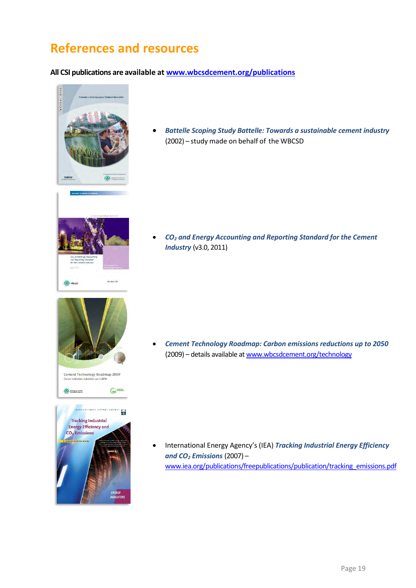## <span id="page-18-0"></span>**References and resources**

#### **All CSI publications are available at [www.wbcsdcement.org/publications](http://www.wbcsdcement.org/publications)**



 *Battelle Scoping Study Battelle: Towards a sustainable cement industry* (2002) – study made on behalf of the WBCSD



Cement Technology Roadmap 2009 s up to 205

**Tracking Industrial Energy Efficiency and** CO<sub>2</sub> Emissions

**OF** management

**Liea** 

 *CO<sup>2</sup> and Energy Accounting and Reporting Standard for the Cement Industry* (v3.0, 2011)

 *Cement Technology Roadmap: Carbon emissions reductions up to 2050*  (2009) – details available a[t www.wbcsdcement.org/technology](http://www.wbcsdcement.org/technology)

 International Energy Agency's (IEA) *Tracking Industrial Energy Efficiency and CO<sup>2</sup> Emissions* (2007) – [www.iea.org/publications/freepublications/publication/tracking\\_emissions.pdf](http://www.iea.org/publications/freepublications/publication/tracking_emissions.pdf)